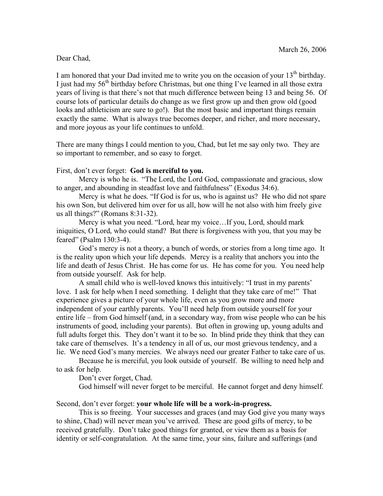## Dear Chad,

I am honored that your Dad invited me to write you on the occasion of your  $13<sup>th</sup>$  birthday. I just had my  $56<sup>th</sup>$  birthday before Christmas, but one thing I've learned in all those extra years of living is that there's not that much difference between being 13 and being 56. Of course lots of particular details do change as we first grow up and then grow old (good looks and athleticism are sure to go!). But the most basic and important things remain exactly the same. What is always true becomes deeper, and richer, and more necessary, and more joyous as your life continues to unfold.

There are many things I could mention to you, Chad, but let me say only two. They are so important to remember, and so easy to forget.

## First, don't ever forget: **God is merciful to you.**

Mercy is who he is. "The Lord, the Lord God, compassionate and gracious, slow to anger, and abounding in steadfast love and faithfulness" (Exodus 34:6).

Mercy is what he does. "If God is for us, who is against us? He who did not spare his own Son, but delivered him over for us all, how will he not also with him freely give us all things?" (Romans 8:31-32).

Mercy is what you need. "Lord, hear my voice…If you, Lord, should mark iniquities, O Lord, who could stand? But there is forgiveness with you, that you may be feared" (Psalm 130:3-4).

God's mercy is not a theory, a bunch of words, or stories from a long time ago. It is the reality upon which your life depends. Mercy is a reality that anchors you into the life and death of Jesus Christ. He has come for us. He has come for you. You need help from outside yourself. Ask for help.

A small child who is well-loved knows this intuitively: "I trust in my parents' love. I ask for help when I need something. I delight that they take care of me!" That experience gives a picture of your whole life, even as you grow more and more independent of your earthly parents. You'll need help from outside yourself for your entire life – from God himself (and, in a secondary way, from wise people who can be his instruments of good, including your parents). But often in growing up, young adults and full adults forget this. They don't want it to be so. In blind pride they think that they can take care of themselves. It's a tendency in all of us, our most grievous tendency, and a lie. We need God's many mercies. We always need our greater Father to take care of us.

Because he is merciful, you look outside of yourself. Be willing to need help and to ask for help.

Don't ever forget, Chad.

God himself will never forget to be merciful. He cannot forget and deny himself.

Second, don't ever forget: **your whole life will be a work-in-progress.**

This is so freeing. Your successes and graces (and may God give you many ways to shine, Chad) will never mean you've arrived. These are good gifts of mercy, to be received gratefully. Don't take good things for granted, or view them as a basis for identity or self-congratulation. At the same time, your sins, failure and sufferings (and